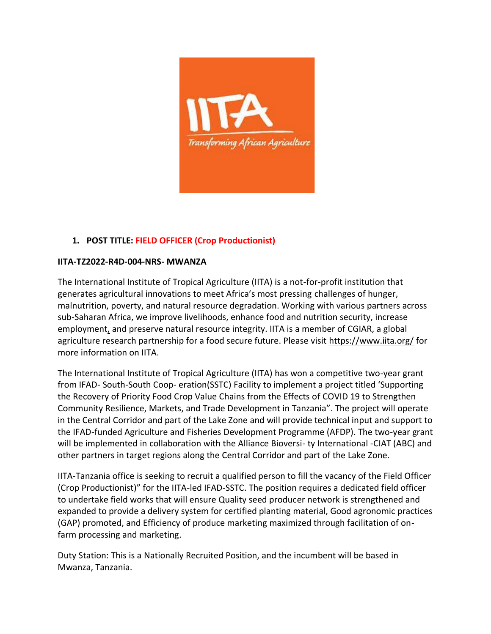

# **1. POST TITLE: FIELD OFFICER (Crop Productionist)**

## **IITA-TZ2022-R4D-004-NRS- MWANZA**

The International Institute of Tropical Agriculture (IITA) is a not-for-profit institution that generates agricultural innovations to meet Africa's most pressing challenges of hunger, malnutrition, poverty, and natural resource degradation. Working with various partners across sub-Saharan Africa, we improve livelihoods, enhance food and nutrition security, increase employmen[t,](https://helpfuljobs.info/) and preserve natural resource integrity. IITA is a member of CGIAR, a global agriculture research partnership for a food secure future. Please visit <https://www.iita.org/> for more information on IITA.

The International Institute of Tropical Agriculture (IITA) has won a competitive two-year grant from IFAD- South-South Coop- eration(SSTC) Facility to implement a project titled 'Supporting the Recovery of Priority Food Crop Value Chains from the Effects of COVID 19 to Strengthen Community Resilience, Markets, and Trade Development in Tanzania". The project will operate in the Central Corridor and part of the Lake Zone and will provide technical input and support to the IFAD-funded Agriculture and Fisheries Development Programme (AFDP). The two-year grant will be implemented in collaboration with the Alliance Bioversi- ty International -CIAT (ABC) and other partners in target regions along the Central Corridor and part of the Lake Zone.

IITA-Tanzania office is seeking to recruit a qualified person to fill the vacancy of the Field Officer (Crop Productionist)" for the IITA-led IFAD-SSTC. The position requires a dedicated field officer to undertake field works that will ensure Quality seed producer network is strengthened and expanded to provide a delivery system for certified planting material, Good agronomic practices (GAP) promoted, and Efficiency of produce marketing maximized through facilitation of onfarm processing and marketing.

Duty Station: This is a Nationally Recruited Position, and the incumbent will be based in Mwanza, Tanzania.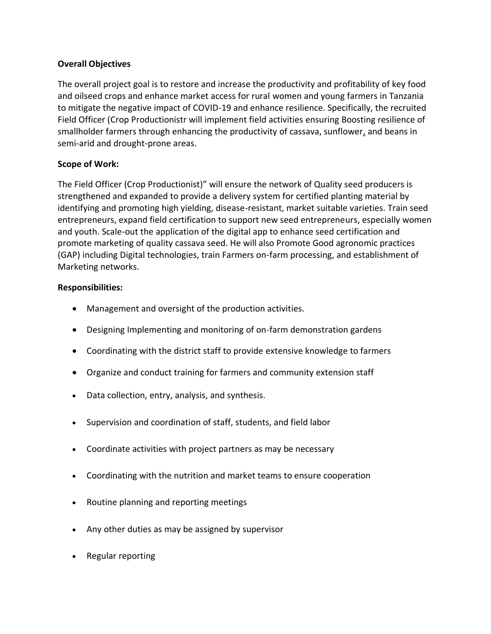## **Overall Objectives**

The overall project goal is to restore and increase the productivity and profitability of key food and oilseed crops and enhance market access for rural women and young farmers in Tanzania to mitigate the negative impact of COVID-19 and enhance resilience. Specifically, the recruited Field Officer (Crop Productionistr will implement field activities ensuring Boosting resilience of smallholder farmers through enhancing the productivity of cassava, sunflowe[r,](https://helpfuljobs.info/) and beans in semi-arid and drought-prone areas.

## **Scope of Work:**

The Field Officer (Crop Productionist)" will ensure the network of Quality seed producers is strengthened and expanded to provide a delivery system for certified planting material by identifying and promoting high yielding, disease-resistant, market suitable varieties. Train seed entrepreneurs, expand field certification to support new seed entrepreneurs, especially women and youth. Scale-out the application of the digital app to enhance seed certification and promote marketing of quality cassava seed. He will also Promote Good agronomic practices (GAP) including Digital technologies, train Farmers on-farm processing, and establishment of Marketing networks.

## **Responsibilities:**

- Management and oversight of the production activities.
- Designing Implementing and monitoring of on-farm demonstration gardens
- Coordinating with the district staff to provide extensive knowledge to farmers
- Organize and conduct training for farmers and community extension staff
- Data collection, entry, analysis, and synthesis.
- Supervision and coordination of staff, students, and field labor
- Coordinate activities with project partners as may be necessary
- Coordinating with the nutrition and market teams to ensure cooperation
- Routine planning and reporting meetings
- Any other duties as may be assigned by supervisor
- Regular reporting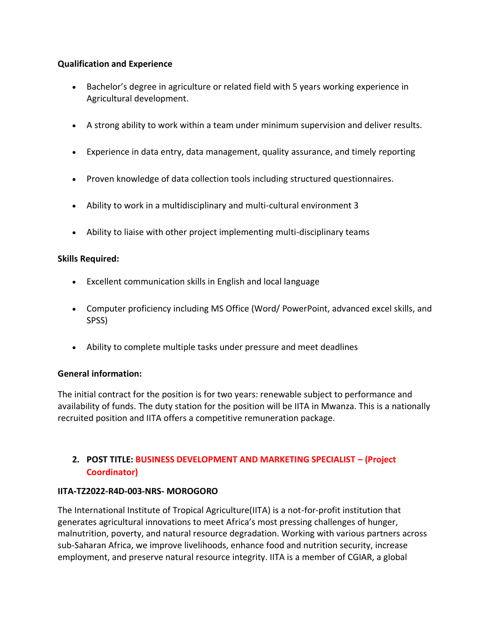# **Qualification and Experience**

- Bachelor's degree in agriculture or related field with 5 years working experience in Agricultural development.
- A strong ability to work within a team under minimum supervision and deliver results.
- Experience in data entry, data management, quality assurance, and timely reporting
- Proven knowledge of data collection tools including structured questionnaires.
- Ability to work in a multidisciplinary and multi-cultural environment 3
- Ability to liaise with other project implementing multi-disciplinary teams

## **Skills Required:**

- Excellent communication skills in English and local language
- Computer proficiency including MS Office (Word/ PowerPoint, advanced excel skills, and SPSS)
- Ability to complete multiple tasks under pressure and meet deadlines

#### **General information:**

The initial contract for the position is for two years: renewable subject to performance and availability of funds. The duty station for the position will be IITA in Mwanza. This is a nationally recruited position and IITA offers a competitive remuneration package.

# **2. POST TITLE: BUSINESS DEVELOPMENT AND MARKETING SPECIALIST – (Project Coordinator)**

#### **IITA-TZ2022-R4D-003-NRS- MOROGORO**

The International Institute of Tropical Agriculture(IITA) is a not-for-profit institution that generates agricultural innovations to meet Africa's most pressing challenges of hunger, malnutrition, poverty, and natural resource degradation. Working with various partners across sub-Saharan Africa, we improve livelihoods, enhance food and nutrition security, increase employment, and preserve natural resource integrity. IITA is a member of CGIAR, a global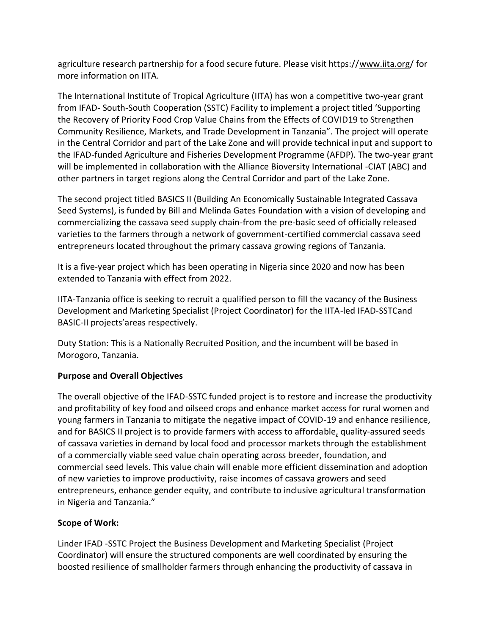agriculture research partnership for a food secure future. Please visit https:/[/www.iita.org/](http://www.iita.org/) for more information on IITA.

The International Institute of Tropical Agriculture (IITA) has won a competitive two-year grant from IFAD- South-South Cooperation (SSTC) Facility to implement a project titled 'Supporting the Recovery of Priority Food Crop Value Chains from the Effects of COVID19 to Strengthen Community Resilience, Markets, and Trade Development in Tanzania". The project will operate in the Central Corridor and part of the Lake Zone and will provide technical input and support to the IFAD-funded Agriculture and Fisheries Development Programme (AFDP). The two-year grant will be implemented in collaboration with the Alliance Bioversity International -CIAT (ABC) and other partners in target regions along the Central Corridor and part of the Lake Zone.

The second project titled BASICS II (Building An Economically Sustainable Integrated Cassava Seed Systems), is funded by Bill and Melinda Gates Foundation with a vision of developing and commercializing the cassava seed supply chain-from the pre-basic seed of officially released varieties to the farmers through a network of government-certified commercial cassava seed entrepreneurs located throughout the primary cassava growing regions of Tanzania.

It is a five-year project which has been operating in Nigeria since 2020 and now has been extended to Tanzania with effect from 2022.

IITA-Tanzania office is seeking to recruit a qualified person to fill the vacancy of the Business Development and Marketing Specialist (Project Coordinator) for the IITA-led IFAD-SSTCand BASIC-II projects'areas respectively.

Duty Station: This is a Nationally Recruited Position, and the incumbent will be based in Morogoro, Tanzania.

# **Purpose and Overall Objectives**

The overall objective of the IFAD-SSTC funded project is to restore and increase the productivity and profitability of key food and oilseed crops and enhance market access for rural women and young farmers in Tanzania to mitigate the negative impact of COVID-19 and enhance resilience, and for BASICS II project is to provide farmers with access to affordabl[e,](https://helpfuljobs.info/) quality-assured seeds of cassava varieties in demand by local food and processor markets through the establishment of a commercially viable seed value chain operating across breeder, foundation, and commercial seed levels. This value chain will enable more efficient dissemination and adoption of new varieties to improve productivity, raise incomes of cassava growers and seed entrepreneurs, enhance gender equity, and contribute to inclusive agricultural transformation in Nigeria and Tanzania."

# **Scope of Work:**

Linder IFAD -SSTC Project the Business Development and Marketing Specialist (Project Coordinator) will ensure the structured components are well coordinated by ensuring the boosted resilience of smallholder farmers through enhancing the productivity of cassava in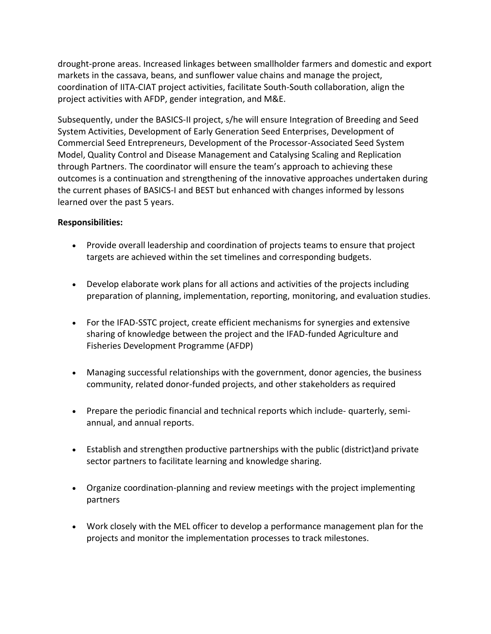drought-prone areas. Increased linkages between smallholder farmers and domestic and export markets in the cassava, beans, and sunflower value chains and manage the project, coordination of IITA-CIAT project activities, facilitate South-South collaboration, align the project activities with AFDP, gender integration, and M&E.

Subsequently, under the BASICS-II project, s/he will ensure Integration of Breeding and Seed System Activities, Development of Early Generation Seed Enterprises, Development of Commercial Seed Entrepreneurs, Development of the Processor-Associated Seed System Model, Quality Control and Disease Management and Catalysing Scaling and Replication through Partners. The coordinator will ensure the team's approach to achieving these outcomes is a continuation and strengthening of the innovative approaches undertaken during the current phases of BASICS-I and BEST but enhanced with changes informed by lessons learned over the past 5 years.

# **Responsibilities:**

- Provide overall leadership and coordination of projects teams to ensure that project targets are achieved within the set timelines and corresponding budgets.
- Develop elaborate work plans for all actions and activities of the projects including preparation of planning, implementation, reporting, monitoring, and evaluation studies.
- For the IFAD-SSTC project, create efficient mechanisms for synergies and extensive sharing of knowledge between the project and the IFAD-funded Agriculture and Fisheries Development Programme (AFDP)
- Managing successful relationships with the government, donor agencies, the business community, related donor-funded projects, and other stakeholders as required
- Prepare the periodic financial and technical reports which include- quarterly, semiannual, and annual reports.
- Establish and strengthen productive partnerships with the public (district)and private sector partners to facilitate learning and knowledge sharing.
- Organize coordination-planning and review meetings with the project implementing partners
- Work closely with the MEL officer to develop a performance management plan for the projects and monitor the implementation processes to track milestones.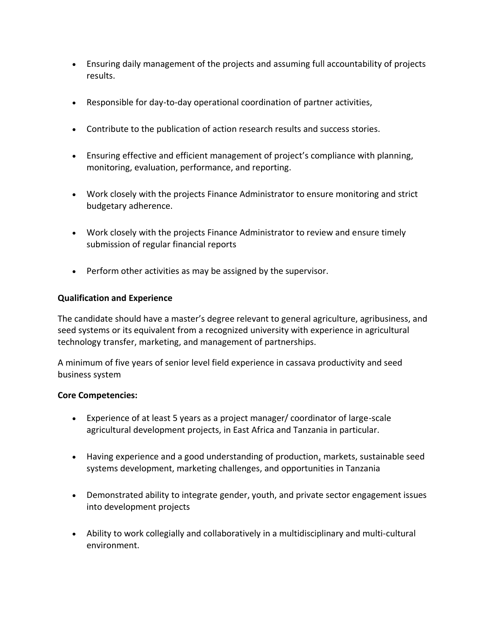- Ensuring daily management of the projects and assuming full accountability of projects results.
- Responsible for day-to-day operational coordination of partner activities,
- Contribute to the publication of action research results and success stories.
- Ensuring effective and efficient management of project's compliance with planning, monitoring, evaluation, performance, and reporting.
- Work closely with the projects Finance Administrator to ensure monitoring and strict budgetary adherence.
- Work closely with the projects Finance Administrator to review and ensure timely submission of regular financial reports
- Perform other activities as may be assigned by the supervisor.

#### **Qualification and Experience**

The candidate should have a master's degree relevant to general agriculture, agribusiness, and seed systems or its equivalent from a recognized university with experience in agricultural technology transfer, marketing, and management of partnerships.

A minimum of five years of senior level field experience in cassava productivity and seed business system

#### **Core Competencies:**

- Experience of at least 5 years as a project manager/ coordinator of large-scale agricultural development projects, in East Africa and Tanzania in particular.
- Having experience and a good understanding of productio[n,](https://helpfuljobs.info/) markets, sustainable seed systems development, marketing challenges, and opportunities in Tanzania
- Demonstrated ability to integrate gender, youth, and private sector engagement issues into development projects
- Ability to work collegially and collaboratively in a multidisciplinary and multi-cultural environment.